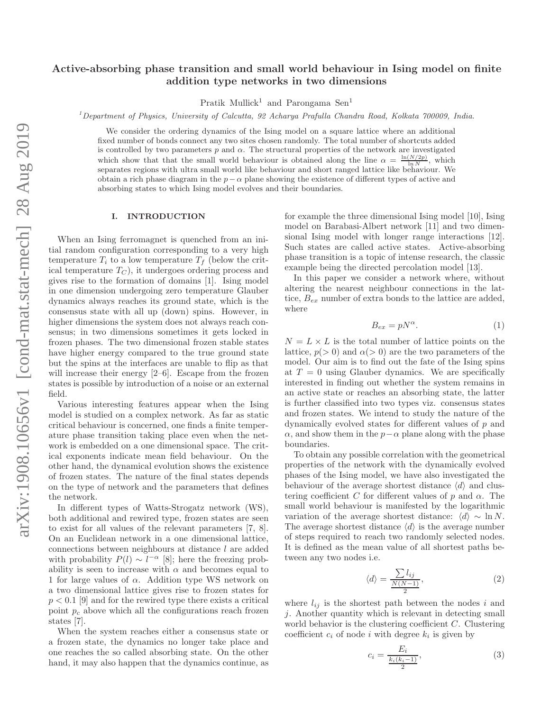# Active-absorbing phase transition and small world behaviour in Ising model on finite addition type networks in two dimensions

Pratik Mullick<sup>1</sup> and Parongama Sen<sup>1</sup>

 $1$ Department of Physics, University of Calcutta, 92 Acharya Prafulla Chandra Road, Kolkata 700009, India.

We consider the ordering dynamics of the Ising model on a square lattice where an additional fixed number of bonds connect any two sites chosen randomly. The total number of shortcuts added is controlled by two parameters  $p$  and  $\alpha$ . The structural properties of the network are investigated which show that that the small world behaviour is obtained along the line  $\alpha = \frac{\ln(N/2p)}{\ln N}$ , which separates regions with ultra small world like behaviour and short ranged lattice like behaviour. We obtain a rich phase diagram in the  $p-\alpha$  plane showing the existence of different types of active and absorbing states to which Ising model evolves and their boundaries.

### I. INTRODUCTION

When an Ising ferromagnet is quenched from an initial random configuration corresponding to a very high temperature  $T_i$  to a low temperature  $T_f$  (below the critical temperature  $T_C$ ), it undergoes ordering process and gives rise to the formation of domains [1]. Ising model in one dimension undergoing zero temperature Glauber dynamics always reaches its ground state, which is the consensus state with all up (down) spins. However, in higher dimensions the system does not always reach consensus; in two dimensions sometimes it gets locked in frozen phases. The two dimensional frozen stable states have higher energy compared to the true ground state but the spins at the interfaces are unable to flip as that will increase their energy  $[2-6]$ . Escape from the frozen states is possible by introduction of a noise or an external field.

Various interesting features appear when the Ising model is studied on a complex network. As far as static critical behaviour is concerned, one finds a finite temperature phase transition taking place even when the network is embedded on a one dimensional space. The critical exponents indicate mean field behaviour. On the other hand, the dynamical evolution shows the existence of frozen states. The nature of the final states depends on the type of network and the parameters that defines the network.

In different types of Watts-Strogatz network (WS), both additional and rewired type, frozen states are seen to exist for all values of the relevant parameters [7, 8]. On an Euclidean network in a one dimensional lattice, connections between neighbours at distance l are added with probability  $P(l) \sim l^{-\alpha}$  [8]; here the freezing probability is seen to increase with  $\alpha$  and becomes equal to 1 for large values of  $\alpha$ . Addition type WS network on a two dimensional lattice gives rise to frozen states for  $p < 0.1$  [9] and for the rewired type there exists a critical point  $p_c$  above which all the configurations reach frozen states [7].

When the system reaches either a consensus state or a frozen state, the dynamics no longer take place and one reaches the so called absorbing state. On the other hand, it may also happen that the dynamics continue, as

for example the three dimensional Ising model [10], Ising model on Barabasi-Albert network [11] and two dimensional Ising model with longer range interactions [12]. Such states are called active states. Active-absorbing phase transition is a topic of intense research, the classic example being the directed percolation model [13].

In this paper we consider a network where, without altering the nearest neighbour connections in the lattice,  $B_{ex}$  number of extra bonds to the lattice are added, where

$$
B_{ex} = pN^{\alpha}.
$$
 (1)

 $N = L \times L$  is the total number of lattice points on the lattice,  $p(> 0)$  and  $\alpha(> 0)$  are the two parameters of the model. Our aim is to find out the fate of the Ising spins at  $T = 0$  using Glauber dynamics. We are specifically interested in finding out whether the system remains in an active state or reaches an absorbing state, the latter is further classified into two types viz. consensus states and frozen states. We intend to study the nature of the dynamically evolved states for different values of p and  $\alpha$ , and show them in the  $p-\alpha$  plane along with the phase boundaries.

To obtain any possible correlation with the geometrical properties of the network with the dynamically evolved phases of the Ising model, we have also investigated the behaviour of the average shortest distance  $\langle d \rangle$  and clustering coefficient C for different values of p and  $\alpha$ . The small world behaviour is manifested by the logarithmic variation of the average shortest distance:  $\langle d \rangle \sim \ln N$ . The average shortest distance  $\langle d \rangle$  is the average number of steps required to reach two randomly selected nodes. It is defined as the mean value of all shortest paths between any two nodes i.e.

$$
\langle d \rangle = \frac{\sum l_{ij}}{\frac{N(N-1)}{2}},\tag{2}
$$

where  $l_{ij}$  is the shortest path between the nodes i and j. Another quantity which is relevant in detecting small world behavior is the clustering coefficient C. Clustering coefficient  $c_i$  of node i with degree  $k_i$  is given by

$$
c_i = \frac{E_i}{\frac{k_i(k_i - 1)}{2}},\tag{3}
$$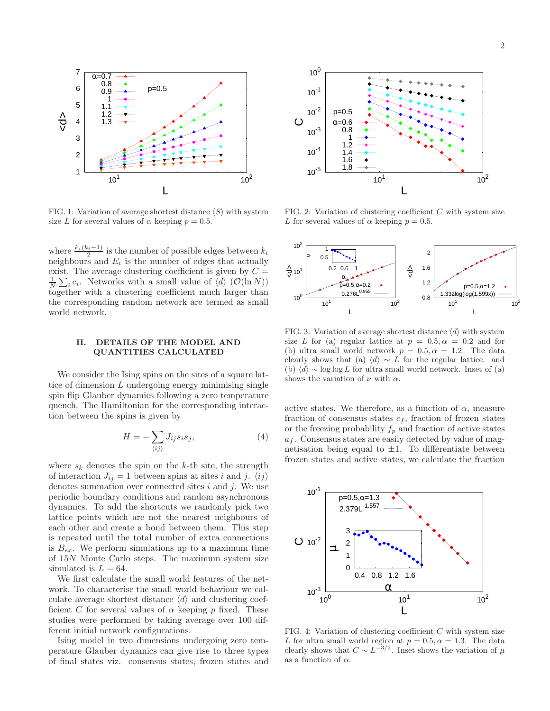

FIG. 1: Variation of average shortest distance  $\langle S \rangle$  with system size L for several values of  $\alpha$  keeping  $p = 0.5$ .

where  $\frac{k_i(k_i-1)}{2}$  is the number of possible edges between  $k_i$ neighbours and  $E_i$  is the number of edges that actually exist. The average clustering coefficient is given by  $C =$  $\frac{1}{N} \sum_i c_i$ . Networks with a small value of  $\langle d \rangle$  ( $\mathcal{O}(\ln N)$ ) together with a clustering coefficient much larger than the corresponding random network are termed as small world network.

### II. DETAILS OF THE MODEL AND QUANTITIES CALCULATED

We consider the Ising spins on the sites of a square lattice of dimension  $L$  undergoing energy minimising single spin flip Glauber dynamics following a zero temperature quench. The Hamiltonian for the corresponding interaction between the spins is given by

$$
H = -\sum_{\langle ij \rangle} J_{ij} s_i s_j,\tag{4}
$$

where  $s_k$  denotes the spin on the k-th site, the strength of interaction  $J_{ij} = 1$  between spins at sites i and j.  $\langle ij \rangle$ denotes summation over connected sites  $i$  and  $j$ . We use periodic boundary conditions and random asynchronous dynamics. To add the shortcuts we randomly pick two lattice points which are not the nearest neighbours of each other and create a bond between them. This step is repeated until the total number of extra connections is  $B_{ex}$ . We perform simulations up to a maximum time of 15N Monte Carlo steps. The maximum system size simulated is  $L = 64$ .

We first calculate the small world features of the network. To characterise the small world behaviour we calculate average shortest distance  $\langle d \rangle$  and clustering coefficient C for several values of  $\alpha$  keeping p fixed. These studies were performed by taking average over 100 different initial network configurations.

Ising model in two dimensions undergoing zero temperature Glauber dynamics can give rise to three types of final states viz. consensus states, frozen states and



FIG. 2: Variation of clustering coefficient  $C$  with system size L for several values of  $\alpha$  keeping  $p = 0.5$ .



FIG. 3: Variation of average shortest distance  $\langle d \rangle$  with system size L for (a) regular lattice at  $p = 0.5, \alpha = 0.2$  and for (b) ultra small world network  $p = 0.5, \alpha = 1.2$ . The data clearly shows that (a)  $\langle d \rangle \sim L$  for the regular lattice. and (b)  $\langle d \rangle$  ∼ log log L for ultra small world network. Inset of (a) shows the variation of  $\nu$  with  $\alpha$ .

active states. We therefore, as a function of  $\alpha$ , measure fraction of consensus states  $c_f$ , fraction of frozen states or the freezing probability  $f_p$  and fraction of active states  $a_f$ . Consensus states are easily detected by value of magnetisation being equal to  $\pm 1$ . To differentiate between frozen states and active states, we calculate the fraction



FIG. 4: Variation of clustering coefficient  $C$  with system size L for ultra small world region at  $p = 0.5, \alpha = 1.3$ . The data clearly shows that  $C \sim L^{-3/2}$ . Inset shows the variation of  $\mu$ as a function of  $\alpha$ .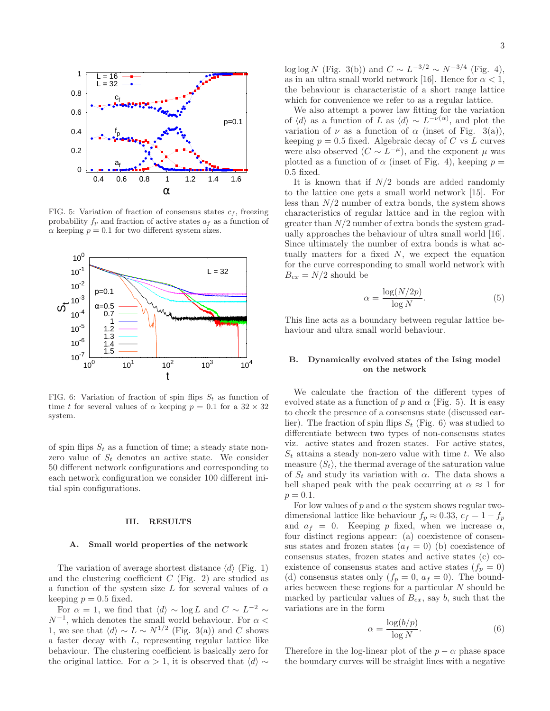

FIG. 5: Variation of fraction of consensus states  $c_f$ , freezing probability  $f_p$  and fraction of active states  $a_f$  as a function of  $\alpha$  keeping  $p = 0.1$  for two different system sizes.



FIG. 6: Variation of fraction of spin flips  $S_t$  as function of time t for several values of  $\alpha$  keeping  $p = 0.1$  for a  $32 \times 32$ system.

of spin flips  $S_t$  as a function of time; a steady state nonzero value of  $S_t$  denotes an active state. We consider 50 different network configurations and corresponding to each network configuration we consider 100 different initial spin configurations.

#### III. RESULTS

#### A. Small world properties of the network

The variation of average shortest distance  $\langle d \rangle$  (Fig. 1) and the clustering coefficient  $C$  (Fig. 2) are studied as a function of the system size L for several values of  $\alpha$ keeping  $p = 0.5$  fixed.

For  $\alpha = 1$ , we find that  $\langle d \rangle \sim \log L$  and  $C \sim L^{-2} \sim$  $N^{-1}$ , which denotes the small world behaviour. For  $\alpha$  < 1, we see that  $\langle d \rangle \sim L \sim N^{1/2}$  (Fig. 3(a)) and C shows a faster decay with  $L$ , representing regular lattice like behaviour. The clustering coefficient is basically zero for the original lattice. For  $\alpha > 1$ , it is observed that  $\langle d \rangle \sim$ 

log log N (Fig. 3(b)) and  $C \sim L^{-3/2} \sim N^{-3/4}$  (Fig. 4), as in an ultra small world network [16]. Hence for  $\alpha < 1$ , the behaviour is characteristic of a short range lattice which for convenience we refer to as a regular lattice.

We also attempt a power law fitting for the variation of  $\langle d \rangle$  as a function of L as  $\langle d \rangle \sim L^{-\nu(\alpha)}$ , and plot the variation of  $\nu$  as a function of  $\alpha$  (inset of Fig. 3(a)), keeping  $p = 0.5$  fixed. Algebraic decay of C vs L curves were also observed  $(C \sim L^{-\mu})$ , and the exponent  $\mu$  was plotted as a function of  $\alpha$  (inset of Fig. 4), keeping  $p =$ 0.5 fixed.

It is known that if  $N/2$  bonds are added randomly to the lattice one gets a small world network [15]. For less than  $N/2$  number of extra bonds, the system shows characteristics of regular lattice and in the region with greater than  $N/2$  number of extra bonds the system gradually approaches the behaviour of ultra small world [16]. Since ultimately the number of extra bonds is what actually matters for a fixed  $N$ , we expect the equation for the curve corresponding to small world network with  $B_{ex} = N/2$  should be

$$
x = \frac{\log(N/2p)}{\log N}.
$$
 (5)

This line acts as a boundary between regular lattice behaviour and ultra small world behaviour.

 $\epsilon$ 

## B. Dynamically evolved states of the Ising model on the network

We calculate the fraction of the different types of evolved state as a function of p and  $\alpha$  (Fig. 5). It is easy to check the presence of a consensus state (discussed earlier). The fraction of spin flips  $S_t$  (Fig. 6) was studied to differentiate between two types of non-consensus states viz. active states and frozen states. For active states,  $S_t$  attains a steady non-zero value with time t. We also measure  $\langle S_t \rangle$ , the thermal average of the saturation value of  $S_t$  and study its variation with  $\alpha$ . The data shows a bell shaped peak with the peak occurring at  $\alpha \approx 1$  for  $p = 0.1.$ 

For low values of p and  $\alpha$  the system shows regular twodimensional lattice like behaviour  $f_p \approx 0.33$ ,  $c_f = 1 - f_p$ and  $a_f = 0$ . Keeping p fixed, when we increase  $\alpha$ , four distinct regions appear: (a) coexistence of consensus states and frozen states  $(a_f = 0)$  (b) coexistence of consensus states, frozen states and active states (c) coexistence of consensus states and active states  $(f_p = 0)$ (d) consensus states only  $(f_p = 0, a_f = 0)$ . The boundaries between these regions for a particular  $N$  should be marked by particular values of  $B_{ex}$ , say b, such that the variations are in the form

$$
\alpha = \frac{\log(b/p)}{\log N}.\tag{6}
$$

Therefore in the log-linear plot of the  $p - \alpha$  phase space the boundary curves will be straight lines with a negative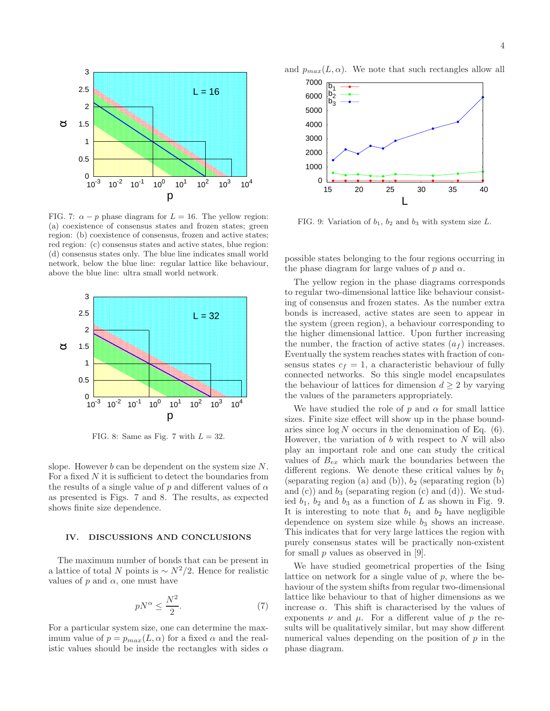

FIG. 7:  $\alpha - p$  phase diagram for  $L = 16$ . The yellow region: (a) coexistence of consensus states and frozen states; green region: (b) coexistence of consensus, frozen and active states; red region: (c) consensus states and active states, blue region: (d) consensus states only. The blue line indicates small world network, below the blue line: regular lattice like behaviour, above the blue line: ultra small world network.



FIG. 8: Same as Fig. 7 with  $L = 32$ .

slope. However  $b$  can be dependent on the system size  $N$ . For a fixed  $N$  it is sufficient to detect the boundaries from the results of a single value of p and different values of  $\alpha$ as presented is Figs. 7 and 8. The results, as expected shows finite size dependence.

### IV. DISCUSSIONS AND CONCLUSIONS

The maximum number of bonds that can be present in a lattice of total N points is  $\sim N^2/2$ . Hence for realistic values of  $p$  and  $\alpha$ , one must have

$$
pN^{\alpha} \le \frac{N^2}{2}.\tag{7}
$$

For a particular system size, one can determine the maximum value of  $p = p_{max}(L, \alpha)$  for a fixed  $\alpha$  and the realistic values should be inside the rectangles with sides  $\alpha$  and  $p_{max}(L, \alpha)$ . We note that such rectangles allow all



FIG. 9: Variation of  $b_1$ ,  $b_2$  and  $b_3$  with system size L.

possible states belonging to the four regions occurring in the phase diagram for large values of  $p$  and  $\alpha$ .

The yellow region in the phase diagrams corresponds to regular two-dimensional lattice like behaviour consisting of consensus and frozen states. As the number extra bonds is increased, active states are seen to appear in the system (green region), a behaviour corresponding to the higher dimensional lattice. Upon further increasing the number, the fraction of active states  $(a_f)$  increases. Eventually the system reaches states with fraction of consensus states  $c_f = 1$ , a characteristic behaviour of fully connected networks. So this single model encapsulates the behaviour of lattices for dimension  $d \geq 2$  by varying the values of the parameters appropriately.

We have studied the role of p and  $\alpha$  for small lattice sizes. Finite size effect will show up in the phase boundaries since  $\log N$  occurs in the denomination of Eq. (6). However, the variation of  $b$  with respect to  $N$  will also play an important role and one can study the critical values of  $B_{ex}$  which mark the boundaries between the different regions. We denote these critical values by  $b_1$ (separating region (a) and (b)),  $b_2$  (separating region (b) and  $(c)$  and  $b_3$  (separating region  $(c)$  and  $(d)$ ). We studied  $b_1$ ,  $b_2$  and  $b_3$  as a function of L as shown in Fig. 9. It is interesting to note that  $b_1$  and  $b_2$  have negligible dependence on system size while  $b_3$  shows an increase. This indicates that for very large lattices the region with purely consensus states will be practically non-existent for small  $p$  values as observed in [9].

We have studied geometrical properties of the Ising lattice on network for a single value of  $p$ , where the behaviour of the system shifts from regular two-dimensional lattice like behaviour to that of higher dimensions as we increase  $\alpha$ . This shift is characterised by the values of exponents  $\nu$  and  $\mu$ . For a different value of p the results will be qualitatively similar, but may show different numerical values depending on the position of  $p$  in the phase diagram.